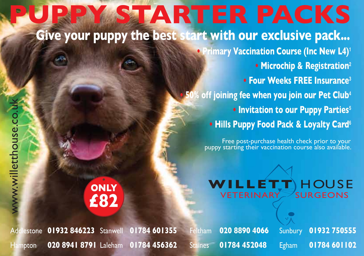**PY STARTER PACKS • Primary Vaccination Course (Inc New L4)<sup>1</sup> • Microchip & Registration<sup>2</sup> • Four Weeks FREE Insurance<sup>3</sup> • 50% off joining fee when you join our Pet Club<sup>4</sup> • Invitation to our Puppy Parties<sup>5</sup> • Hills Puppy Food Pack & Loyalty Card<sup>6</sup> WILLETT** HOUSE  $VETERINARY$ **Give your puppy the best start with our exclusive pack... ONLY £82** Free post-purchase health check prior to your puppy starting their vaccination course also available.

Addlestone **01932 846223** Stanwell **01784 601355** Feltham **020 8890 4066** Sunbury **01932 750555** Hampton **020 8941 8791** Laleham **01784 456362** Staines **01784 452048** Egham **01784 601102**